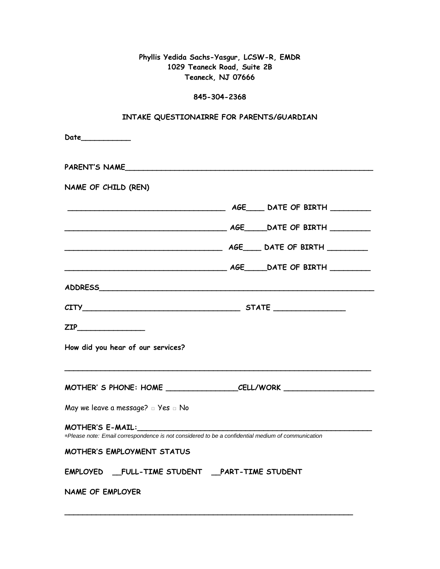**Phyllis Yedida Sachs-Yasgur, LCSW-R, EMDR 1029 Teaneck Road, Suite 2B Teaneck, NJ 07666**

## **845-304-2368**

| INTAKE QUESTIONAIRRE FOR PARENTS/GUARDIAN                                                         |  |  |  |  |
|---------------------------------------------------------------------------------------------------|--|--|--|--|
| Date___________                                                                                   |  |  |  |  |
| PARENT'S NAME                                                                                     |  |  |  |  |
| NAME OF CHILD (REN)                                                                               |  |  |  |  |
|                                                                                                   |  |  |  |  |
|                                                                                                   |  |  |  |  |
|                                                                                                   |  |  |  |  |
|                                                                                                   |  |  |  |  |
|                                                                                                   |  |  |  |  |
|                                                                                                   |  |  |  |  |
| ZIP____________________                                                                           |  |  |  |  |
| How did you hear of our services?                                                                 |  |  |  |  |
|                                                                                                   |  |  |  |  |
| May we leave a message? a Yes a No                                                                |  |  |  |  |
| *Please note: Email correspondence is not considered to be a confidential medium of communication |  |  |  |  |
| MOTHER'S EMPLOYMENT STATUS                                                                        |  |  |  |  |
| EMPLOYED __FULL-TIME STUDENT __PART-TIME STUDENT                                                  |  |  |  |  |
| <b>NAME OF EMPLOYER</b>                                                                           |  |  |  |  |

**\_\_\_\_\_\_\_\_\_\_\_\_\_\_\_\_\_\_\_\_\_\_\_\_\_\_\_\_\_\_\_\_\_\_\_\_\_\_\_\_\_\_\_\_\_\_\_\_\_\_\_\_\_\_\_\_\_\_\_\_\_\_\_\_**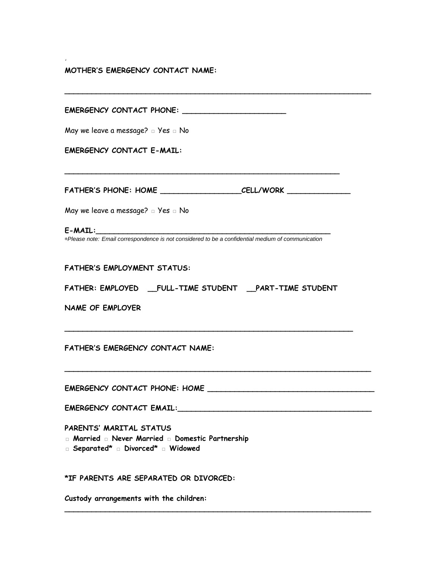## **MOTHER'S EMERGENCY CONTACT NAME:**

*'*

| May we leave a message? $\square$ Yes $\square$ No                                                                                     |
|----------------------------------------------------------------------------------------------------------------------------------------|
| <b>EMERGENCY CONTACT E-MAIL:</b>                                                                                                       |
|                                                                                                                                        |
| FATHER'S PHONE: HOME __________________________________CELL/WORK _______________                                                       |
| May we leave a message? $\square$ Yes $\square$ No                                                                                     |
| $E$ -MAIL: $\qquad \qquad \qquad$<br>*Please note: Email correspondence is not considered to be a confidential medium of communication |
|                                                                                                                                        |
| <b>FATHER'S EMPLOYMENT STATUS:</b>                                                                                                     |
| FATHER: EMPLOYED FULL-TIME STUDENT PART-TIME STUDENT                                                                                   |
| <b>NAME OF EMPLOYER</b>                                                                                                                |
|                                                                                                                                        |
| <b>FATHER'S EMERGENCY CONTACT NAME:</b>                                                                                                |
|                                                                                                                                        |
|                                                                                                                                        |
|                                                                                                                                        |
| PARENTS' MARITAL STATUS<br><b>E</b> Married E Never Married E Domestic Partnership<br>□ Separated* □ Divorced* □ Widowed               |
| *IF PARENTS ARE SEPARATED OR DIVORCED:                                                                                                 |
| Custody arrangements with the children:                                                                                                |

**\_\_\_\_\_\_\_\_\_\_\_\_\_\_\_\_\_\_\_\_\_\_\_\_\_\_\_\_\_\_\_\_\_\_\_\_\_\_\_\_\_\_\_\_\_\_\_\_\_\_\_\_\_\_\_\_\_\_\_\_\_\_\_\_\_\_\_\_**

**\_\_\_\_\_\_\_\_\_\_\_\_\_\_\_\_\_\_\_\_\_\_\_\_\_\_\_\_\_\_\_\_\_\_\_\_\_\_\_\_\_\_\_\_\_\_\_\_\_\_\_\_\_\_\_\_\_\_\_\_\_\_\_\_\_\_\_\_**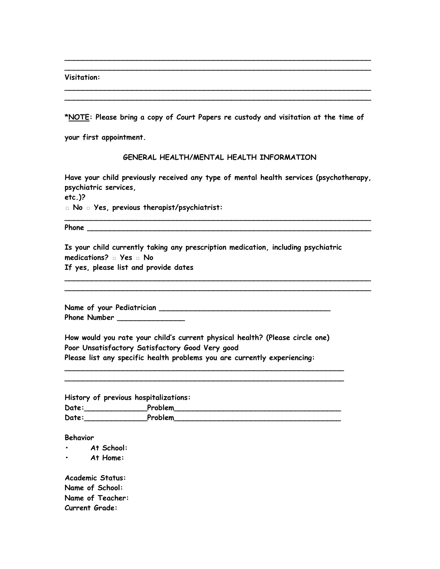**Visitation:** 

**\*NOTE: Please bring a copy of Court Papers re custody and visitation at the time of** 

**\_\_\_\_\_\_\_\_\_\_\_\_\_\_\_\_\_\_\_\_\_\_\_\_\_\_\_\_\_\_\_\_\_\_\_\_\_\_\_\_\_\_\_\_\_\_\_\_\_\_\_\_\_\_\_\_\_\_\_\_\_\_\_\_\_\_\_\_ \_\_\_\_\_\_\_\_\_\_\_\_\_\_\_\_\_\_\_\_\_\_\_\_\_\_\_\_\_\_\_\_\_\_\_\_\_\_\_\_\_\_\_\_\_\_\_\_\_\_\_\_\_\_\_\_\_\_\_\_\_\_\_\_\_\_\_\_**

**\_\_\_\_\_\_\_\_\_\_\_\_\_\_\_\_\_\_\_\_\_\_\_\_\_\_\_\_\_\_\_\_\_\_\_\_\_\_\_\_\_\_\_\_\_\_\_\_\_\_\_\_\_\_\_\_\_\_\_\_\_\_\_\_\_\_\_\_ \_\_\_\_\_\_\_\_\_\_\_\_\_\_\_\_\_\_\_\_\_\_\_\_\_\_\_\_\_\_\_\_\_\_\_\_\_\_\_\_\_\_\_\_\_\_\_\_\_\_\_\_\_\_\_\_\_\_\_\_\_\_\_\_\_\_\_\_** 

**your first appointment.**

## **GENERAL HEALTH/MENTAL HEALTH INFORMATION**

**Have your child previously received any type of mental health services (psychotherapy, psychiatric services,**

**etc.)?**

**□ No □ Yes, previous therapist/psychiatrist:** 

**\_\_\_\_\_\_\_\_\_\_\_\_\_\_\_\_\_\_\_\_\_\_\_\_\_\_\_\_\_\_\_\_\_\_\_\_\_\_\_\_\_\_\_\_\_\_\_\_\_\_\_\_\_\_\_\_\_\_\_\_\_\_\_\_\_\_\_\_**

**Phone \_\_\_\_\_\_\_\_\_\_\_\_\_\_\_\_\_\_\_\_\_\_\_\_\_\_\_\_\_\_\_\_\_\_\_\_\_\_\_\_\_\_\_\_\_\_\_\_\_\_\_\_\_\_\_\_\_\_\_\_\_\_\_**

**Is your child currently taking any prescription medication, including psychiatric medications? □ Yes □ No**

**\_\_\_\_\_\_\_\_\_\_\_\_\_\_\_\_\_\_\_\_\_\_\_\_\_\_\_\_\_\_\_\_\_\_\_\_\_\_\_\_\_\_\_\_\_\_\_\_\_\_\_\_\_\_\_\_\_\_\_\_\_\_\_\_\_\_\_\_ \_\_\_\_\_\_\_\_\_\_\_\_\_\_\_\_\_\_\_\_\_\_\_\_\_\_\_\_\_\_\_\_\_\_\_\_\_\_\_\_\_\_\_\_\_\_\_\_\_\_\_\_\_\_\_\_\_\_\_\_\_\_\_\_\_\_\_\_**

**If yes, please list and provide dates**

**Name of your Pediatrician \_\_\_\_\_\_\_\_\_\_\_\_\_\_\_\_\_\_\_\_\_\_\_\_\_\_\_\_\_\_\_\_\_\_\_\_\_\_ Phone Number \_\_\_\_\_\_\_\_\_\_\_\_\_\_\_**

**How would you rate your child's current physical health? (Please circle one) Poor Unsatisfactory Satisfactory Good Very good Please list any specific health problems you are currently experiencing:** 

**History of previous hospitalizations: Date:\_\_\_\_\_\_\_\_\_\_\_\_\_\_Problem\_\_\_\_\_\_\_\_\_\_\_\_\_\_\_\_\_\_\_\_\_\_\_\_\_\_\_\_\_\_\_\_\_\_\_\_\_ Date:\_\_\_\_\_\_\_\_\_\_\_\_\_\_Problem\_\_\_\_\_\_\_\_\_\_\_\_\_\_\_\_\_\_\_\_\_\_\_\_\_\_\_\_\_\_\_\_\_\_\_\_\_**

**\_\_\_\_\_\_\_\_\_\_\_\_\_\_\_\_\_\_\_\_\_\_\_\_\_\_\_\_\_\_\_\_\_\_\_\_\_\_\_\_\_\_\_\_\_\_\_\_\_\_\_\_\_\_\_\_\_\_\_\_\_\_ \_\_\_\_\_\_\_\_\_\_\_\_\_\_\_\_\_\_\_\_\_\_\_\_\_\_\_\_\_\_\_\_\_\_\_\_\_\_\_\_\_\_\_\_\_\_\_\_\_\_\_\_\_\_\_\_\_\_\_\_\_\_**

**Behavior** 

**• At School:**

**• At Home:**

**Academic Status: Name of School: Name of Teacher: Current Grade:**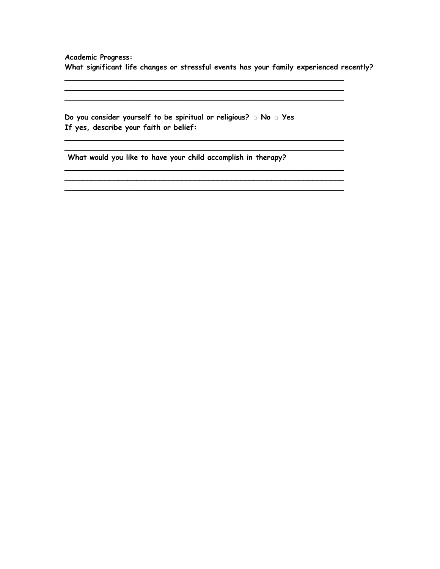**Academic Progress: What significant life changes or stressful events has your family experienced recently?** 

**\_\_\_\_\_\_\_\_\_\_\_\_\_\_\_\_\_\_\_\_\_\_\_\_\_\_\_\_\_\_\_\_\_\_\_\_\_\_\_\_\_\_\_\_\_\_\_\_\_\_\_\_\_\_\_\_\_\_\_\_\_\_ \_\_\_\_\_\_\_\_\_\_\_\_\_\_\_\_\_\_\_\_\_\_\_\_\_\_\_\_\_\_\_\_\_\_\_\_\_\_\_\_\_\_\_\_\_\_\_\_\_\_\_\_\_\_\_\_\_\_\_\_\_\_ \_\_\_\_\_\_\_\_\_\_\_\_\_\_\_\_\_\_\_\_\_\_\_\_\_\_\_\_\_\_\_\_\_\_\_\_\_\_\_\_\_\_\_\_\_\_\_\_\_\_\_\_\_\_\_\_\_\_\_\_\_\_**

**\_\_\_\_\_\_\_\_\_\_\_\_\_\_\_\_\_\_\_\_\_\_\_\_\_\_\_\_\_\_\_\_\_\_\_\_\_\_\_\_\_\_\_\_\_\_\_\_\_\_\_\_\_\_\_\_\_\_\_\_\_\_ \_\_\_\_\_\_\_\_\_\_\_\_\_\_\_\_\_\_\_\_\_\_\_\_\_\_\_\_\_\_\_\_\_\_\_\_\_\_\_\_\_\_\_\_\_\_\_\_\_\_\_\_\_\_\_\_\_\_\_\_\_\_**

**\_\_\_\_\_\_\_\_\_\_\_\_\_\_\_\_\_\_\_\_\_\_\_\_\_\_\_\_\_\_\_\_\_\_\_\_\_\_\_\_\_\_\_\_\_\_\_\_\_\_\_\_\_\_\_\_\_\_\_\_\_\_**

**Do you consider yourself to be spiritual or religious? □ No □ Yes If yes, describe your faith or belief:** 

**What would you like to have your child accomplish in therapy?**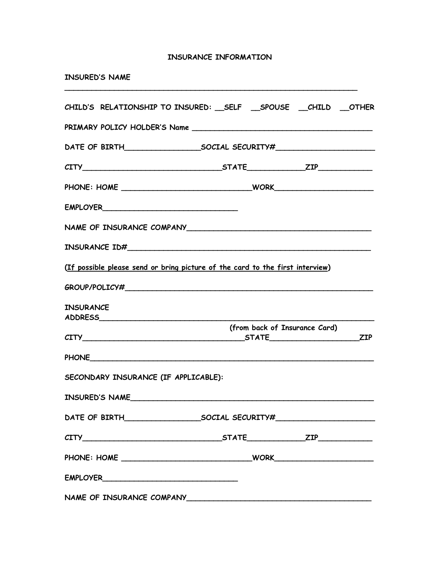## **INSURANCE INFORMATION**

**\_\_\_\_\_\_\_\_\_\_\_\_\_\_\_\_\_\_\_\_\_\_\_\_\_\_\_\_\_\_\_\_\_\_\_\_\_\_\_\_\_\_\_\_\_\_\_\_\_\_\_\_\_\_\_\_\_\_\_\_\_\_\_\_\_**

|  | <b>INSURED'S NAME</b> |  |
|--|-----------------------|--|
|--|-----------------------|--|

| CHILD'S RELATIONSHIP TO INSURED: __ SELF __ SPOUSE __ CHILD __ OTHER          |                               |  |
|-------------------------------------------------------------------------------|-------------------------------|--|
|                                                                               |                               |  |
|                                                                               |                               |  |
| $CITY$ $ZIP$                                                                  |                               |  |
|                                                                               |                               |  |
|                                                                               |                               |  |
|                                                                               |                               |  |
|                                                                               |                               |  |
| (If possible please send or bring picture of the card to the first interview) |                               |  |
|                                                                               |                               |  |
| <b>INSURANCE</b>                                                              |                               |  |
|                                                                               | (from back of Insurance Card) |  |
|                                                                               |                               |  |
|                                                                               |                               |  |
| SECONDARY INSURANCE (IF APPLICABLE):                                          |                               |  |
| INSURED'S NAME                                                                |                               |  |
|                                                                               |                               |  |
| $CITY$ $ZIP$                                                                  |                               |  |
|                                                                               |                               |  |
|                                                                               |                               |  |
|                                                                               |                               |  |